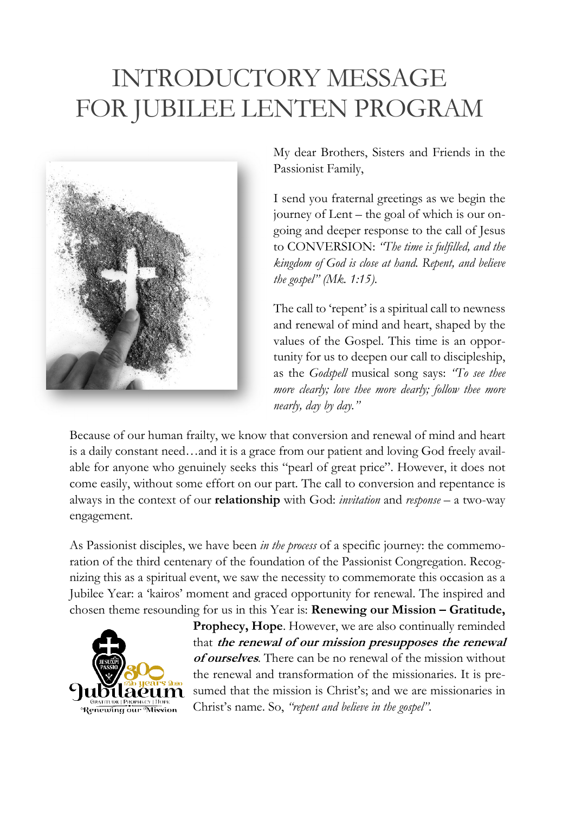## INTRODUCTORY MESSAGE FOR JUBILEE LENTEN PROGRAM



My dear Brothers, Sisters and Friends in the Passionist Family,

I send you fraternal greetings as we begin the journey of Lent – the goal of which is our ongoing and deeper response to the call of Jesus to CONVERSION: *"The time is fulfilled, and the kingdom of God is close at hand. Repent, and believe the gospel" (Mk. 1:15)*.

The call to 'repent' is a spiritual call to newness and renewal of mind and heart, shaped by the values of the Gospel. This time is an opportunity for us to deepen our call to discipleship, as the *Godspell* musical song says: *"To see thee more clearly; love thee more dearly; follow thee more nearly, day by day."*

Because of our human frailty, we know that conversion and renewal of mind and heart is a daily constant need…and it is a grace from our patient and loving God freely available for anyone who genuinely seeks this "pearl of great price". However, it does not come easily, without some effort on our part. The call to conversion and repentance is always in the context of our **relationship** with God: *invitation* and *response* – a two-way engagement.

As Passionist disciples, we have been *in the process* of a specific journey: the commemoration of the third centenary of the foundation of the Passionist Congregation. Recognizing this as a spiritual event, we saw the necessity to commemorate this occasion as a Jubilee Year: a 'kairos' moment and graced opportunity for renewal. The inspired and chosen theme resounding for us in this Year is: **Renewing our Mission – Gratitude,** 



**Prophecy, Hope**. However, we are also continually reminded that **the renewal of our mission presupposes the renewal of ourselves**. There can be no renewal of the mission without the renewal and transformation of the missionaries. It is presumed that the mission is Christ's; and we are missionaries in Christ's name. So, *"repent and believe in the gospel"*.